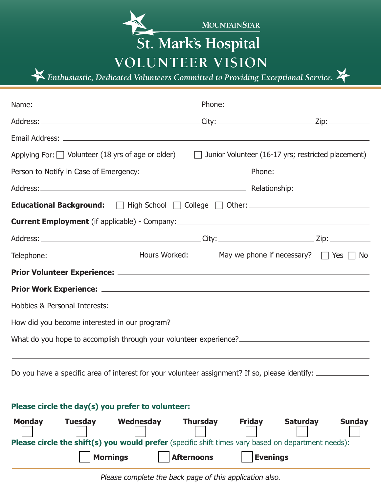

**Volunteer Vision** 

*Enthusiastic, Dedicated Volunteers Committed to Providing Exceptional Service.* 

| Applying For: $\Box$ Volunteer (18 yrs of age or older) $\Box$ Junior Volunteer (16-17 yrs; restricted placement)                                                                          |                 |                                                                      |
|--------------------------------------------------------------------------------------------------------------------------------------------------------------------------------------------|-----------------|----------------------------------------------------------------------|
|                                                                                                                                                                                            |                 |                                                                      |
|                                                                                                                                                                                            |                 |                                                                      |
| Educational Background:<br>Thigh School   College   Other: _______________________                                                                                                         |                 |                                                                      |
|                                                                                                                                                                                            |                 |                                                                      |
|                                                                                                                                                                                            |                 |                                                                      |
|                                                                                                                                                                                            |                 |                                                                      |
|                                                                                                                                                                                            |                 |                                                                      |
|                                                                                                                                                                                            |                 |                                                                      |
|                                                                                                                                                                                            |                 |                                                                      |
| How did you become interested in our program? ___________________________________                                                                                                          |                 |                                                                      |
| What do you hope to accomplish through your volunteer experience?                                                                                                                          |                 |                                                                      |
| Do you have a specific area of interest for your volunteer assignment? If so, please identify: ______________                                                                              |                 |                                                                      |
| Please circle the day(s) you prefer to volunteer:                                                                                                                                          |                 |                                                                      |
| <b>Monday</b><br><b>Tuesday</b><br>Wednesday<br>Please circle the shift(s) you would prefer (specific shift times vary based on department needs):<br><b>Mornings</b><br><b>Afternoons</b> | <b>Thursday</b> | <b>Friday</b><br><b>Saturday</b><br><b>Sunday</b><br><b>Evenings</b> |

Please complete the back page of this application also.